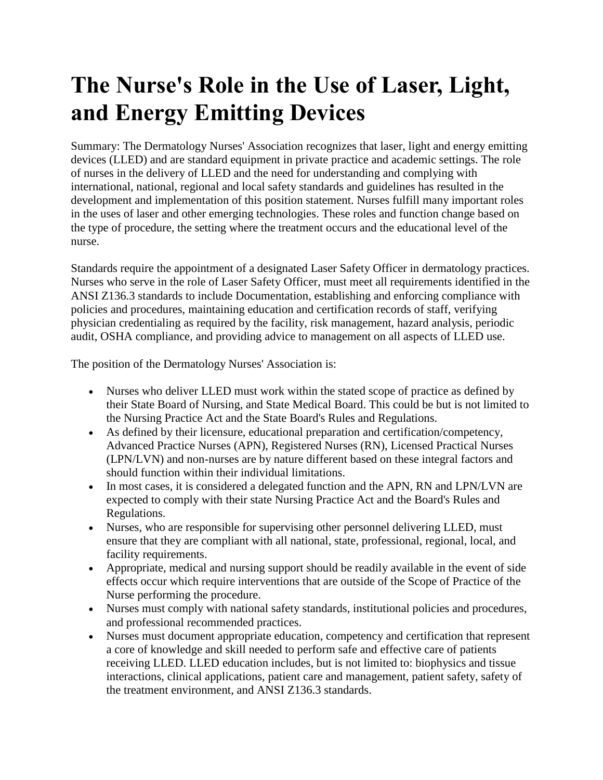## **The Nurse's Role in the Use of Laser, Light, and Energy Emitting Devices**

Summary: The Dermatology Nurses' Association recognizes that laser, light and energy emitting devices (LLED) and are standard equipment in private practice and academic settings. The role of nurses in the delivery of LLED and the need for understanding and complying with international, national, regional and local safety standards and guidelines has resulted in the development and implementation of this position statement. Nurses fulfill many important roles in the uses of laser and other emerging technologies. These roles and function change based on the type of procedure, the setting where the treatment occurs and the educational level of the nurse.

Standards require the appointment of a designated Laser Safety Officer in dermatology practices. Nurses who serve in the role of Laser Safety Officer, must meet all requirements identified in the ANSI Z136.3 standards to include Documentation, establishing and enforcing compliance with policies and procedures, maintaining education and certification records of staff, verifying physician credentialing as required by the facility, risk management, hazard analysis, periodic audit, OSHA compliance, and providing advice to management on all aspects of LLED use.

The position of the Dermatology Nurses' Association is:

- Nurses who deliver LLED must work within the stated scope of practice as defined by their State Board of Nursing, and State Medical Board. This could be but is not limited to the Nursing Practice Act and the State Board's Rules and Regulations.
- As defined by their licensure, educational preparation and certification/competency, Advanced Practice Nurses (APN), Registered Nurses (RN), Licensed Practical Nurses (LPN/LVN) and non-nurses are by nature different based on these integral factors and should function within their individual limitations.
- In most cases, it is considered a delegated function and the APN, RN and LPN/LVN are expected to comply with their state Nursing Practice Act and the Board's Rules and Regulations.
- Nurses, who are responsible for supervising other personnel delivering LLED, must ensure that they are compliant with all national, state, professional, regional, local, and facility requirements.
- Appropriate, medical and nursing support should be readily available in the event of side effects occur which require interventions that are outside of the Scope of Practice of the Nurse performing the procedure.
- Nurses must comply with national safety standards, institutional policies and procedures, and professional recommended practices.
- Nurses must document appropriate education, competency and certification that represent a core of knowledge and skill needed to perform safe and effective care of patients receiving LLED. LLED education includes, but is not limited to: biophysics and tissue interactions, clinical applications, patient care and management, patient safety, safety of the treatment environment, and ANSI Z136.3 standards.